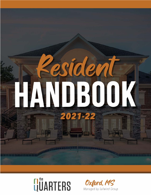



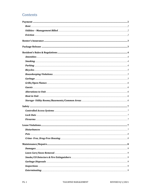# Contents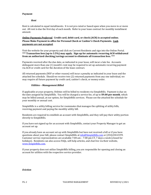#### **Payment**

#### *Rent*

Rent is calculated in equal installments. It is not pro-rated or based upon when you move in or move out. All rent is due the first day of each month. Refer to your lease contract for monthly installment amount. 

# *<u>Online Payments Preferred</u>.* **Credit card, debit card, or check (ACH) is accepted online. Please Make Payment in office for Personal Check or Cashier's Check Payments. Cash payments** are not accepted.

Visit the website for your property and click on Current Residents and sign into the Online Portal. \*\*\* Transaction fees (up to 3.5%) may apply. Sign up for automatic recurring ACH withdrawal **from an authorized checking/savings account to eliminate all transaction fees.** \*\*\*

Payments received after the due date, as indicated in your lease, will incur a late fee. Accounts delinquent more than one  $(1)$  month's rent may be required to set up automatic recurring payment via ACH or credit card for the duration of the lease contract.

All returned payments (NSF or other reason) will incur a penalty as indicated in your lease and the attached fee schedule. Should we receive two (2) returned payments from any one individual, we may require all future payment by credit card, cashier's check, or money order.

# *Utilities – Management Billed*

If applicable at your property, Utilities will be billed to residents via SimpleBills. Payment is due on the date assigned by SimpleBills. You will be charged a service fee, of up to \$9.00 per month, which may be billed annual, at our option, for SimpleBills services. Please see the attached fee schedule for your monthly or annual cost.

SimpleBills is a utility billing service for roommates that manages the splitting of utility bills, receiving payment and paying the monthly utility bill.

Residents are required to establish an account with SimpleBills, and they will pay their utility portion directly to SimpleBills.

If you have not signed up for an account with SimpleBills, contact your Property Manager to get an account set up.

If you already have an account set up with SimpleBills but have not received a bill or if you have questions about your bill, please contact SimpleBills at info@SimpleBills.com or (254)230-0199. Customer service representatives are available  $7:00$  am  $- 7:00$  pm CT, 7 days a week (closed for holidays). Residents can also access FAQs, self-help articles, and chat live via their website, www.SimpleBills.com. 

If your property does not utilize SimpleBills billing, you are responsible for opening and closing an account for utilities with the respective service provider.

#### *Eviction*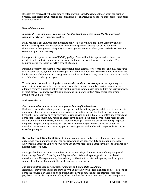If rent is not received by the due date as listed on your lease, Management may begin the eviction process. Management will seek to collect all rent, late charges, and all other additional fees and costs as allowed by law.

## **Renter's Insurance**

# *Important: Your personal property and liability is not protected under the Management Company or Owner's insurance policy.*

Many residents are unaware that insurance policies held by the Management Company and/or Owners on the property do not protect them or their personal belongings or the liability of themselves or their guests. The policy that Management requires when you sign the lease does not cover your personal property.

Management requires a *personal liability policy.* Personal liability happens when there is an accident that results in injury to you or property damage for which you are responsible. The required policy protects you in this type of situation.

Personal property (for example, your computer, phone, clothes, etc.) losses have and may occur due to fire, power outages, wind, water damage, theft, and vandalism, etc. Many residents have been held liable because of the actions of their guests or children. Failure to carry renter's insurance can result in liability being held against you.

To fully protect yourself, it is *highly recommended, and you are strongly encouraged* to get a renter's insurance policy for your personal property. If you are already carrying auto insurance, adding a renter's insurance policy with most insurance companies is easy and it is not very expensive in most cases. If you need assistance in obtaining this policy, contact Management for options available to you at a low cost.

#### **Package Release**

#### For communities that do accept packages on behalf of its Residents:

Resident(s) authorizes Management to accept, on their behalf, any package delivered to our on-site management office during normal business hours, including but not limited to any package delivered by the US Postal Service or by any private courier service or individual. Resident(s) understand and agree that Management may refuse to accept any package, in our sole discretion, for reasons that include, but are not limited to, the following: the package (1) contains perishable items; (2) poses a danger to any person or property; or  $(3)$  is a size and or/weight that we are either unable or unwilling to store or maintain for any period. Management will not be held responsible for any lost or stolen packages.

**Duty of Care and Time Limitation.** Resident(s) understand and agree that Management has no duty to notify you of our receipt of the package, nor do we have any duty to maintain, protect or deliver said package to you, nor do we have any duty to make said package available to you after our normal business hours.

Packages that have not been claimed within 3 business days after our receipt of the package will incur storage fees of \$10 per day until day 10. After 10 days, the package will be considered abandoned and Management may immediately, without notice, return the package to its original sender. Resident will remain liable for the storage fees incurred.

#### For communities that do not accept packages on behalf of its Residents:

Resident(s) may opt to utilize the third-party package delivery lockers available on site. Resident(s) agree the service is available as an additional amenity and may include registration/user fees payable to the third-party vendor if they elect to utilize the service. Resident(s) are not required to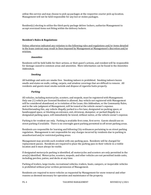utilize this service and may choose to pick up packages at the respective courier pick up location. Management will not be held responsible for any lost or stolen packages.

Resident(s) electing to utilize the third-party package deliver lockers, authorize Management to accept oversized items not fitting within the delivery lockers.

#### **Resident's Rules & Regulations**

Unless otherwise indicated any violation to the following rules and regulations and/or items detailed in the lease contract may result in fines imposed by Management at Management's discretion and/or eviction.

#### *Amenities*

Residents will be held liable for their actions, or their guest's actions, and resident will be responsible for damage caused to common areas and amenities. More information can be found in the Amenities Addendum.

#### *Smoking*

All buildings and units are smoke free. Smoking indoors is prohibited. Smoking indoors leaves smells and stains on walls, ceiling, carpets, and window coverings that are difficult to remove. All residents and guests must smoke outside and dispose of cigarette butts properly.

#### *Parking*

All vehicles, including motorcycles, scooters, and mopeds, must be registered with Management. Only one (1) vehicle per licensed Resident is allowed. Any vehicle not registered with Management will be considered abandoned, or in violation of the Lease, this Addendum, or the Community Rules, and in the sole judgment of Management, will be towed at the vehicle owner's expense. Notwithstanding this, any vehicle illegally parked in a fire lane, designated no parking space, or handicapped space, or blocking an entrance, exit, driveway, dumpster, or parked illegally in a designated parking space, will immediately be towed, without notice, at the vehicle owner's expense.

Parking is for resident use only. Parking is available first come, first serve. Guests should use on street parking if available. There is no overnight guest parking permitted in off street parking areas.

Residents are responsible for learning and following City ordinances pertaining to on street parking regulation. Management is not responsible for any charges incurred by residents due to parking in unauthorized and/or restricted parking areas.

Management may provide each resident with one parking pass. Residents will be charged for replacement passes. Residents are required to place the parking pass in their vehicle in a visible location and it must always be visible.

If designated motorcycle parking is identified, all motorcycles and scooters are only permitted in the  $area(s)$  identified. Motorcycles, scooters, mopeds, and other vehicles are not permitted inside units, including porches, patios, and decks at any time.

Parking of trailers, large trucks, recreational vehicles, trailers, boats, campers, or inoperable vehicles is prohibited without prior written permission of Management.

Residents are required to move vehicles as requested by Management for snow removal and other reasons as deemed necessary for operation and maintenance of the property.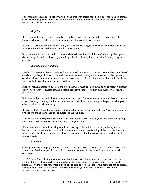The washing of vehicles is not permitted on the property unless specifically allowed in a designated area. Any on property repairs and/or maintenance of any vehicle must be with the prior written permission of the Management.

## *Bicycles*

Bicycles must be stored in designated areas only. Bicycles are not permitted on porches, patios, balconies, hallways, light posts, street signs, trees, fences, within units, etc.

Resident $(s)$  are responsible for providing methods for securing the bicycle in the designated areas. Management will not be liable for any damage or theft.

Bicycles found in unauthorized locations or deemed abandoned will be confiscated by Management. Owners may claim their bicycle by providing a detailed description of the bicycle and paying the associated fine.

# *Housekeeping Violations*

Residents are responsible for keeping the exterior of their unit and the area around their unit free of debris and garbage. Failure to maintain the area properly (solely determinative by Management) is considered a nuisance and a violation of the lease contract. No furniture, other than patio furniture specifically designed for outdoor use, is allowed outside.

Drapes or shades installed by Resident, when allowed, must be lined in white and present a uniform exterior appearance. Sheets, towels, posters, reflective shades or other "non-window" covering is prohibited.

Balconies and patios shall always be kept neat and clean. Only outdoor furniture is allowed. No rugs, towels, laundry, clothing, appliances, or other items shall be stored, hung, or draped on railings or other portions of balconies or patios.

Residents shall not display any signs, exterior lights, or markings on dwellings. No awnings or other projections shall be attached to the outside of the building.

At certain times during the term of you lease, Management will inspect your rental unit for upkeep and condition of both the exterior and interior of your Unit.

If it is determined the unit is being kept in an unacceptable sanitary state and/or being abused beyond normal wear and tear, you will receive a notice of a housekeeping violation. It will be your responsibility to clean, repair, and replace items as outlined in the notice, this may include pest removal costs.

#### *Garbage*

Garbage must be promptly removed from units and placed in the designated containers. Residents are responsible for proper disposal of any item not accepted in the central containers or trash compactors.

*Trash Compactors* – Residents are responsible for following the proper operation procedures as posted. If the trash compactor is inoperable or becomes damaged, please notify Management immediately. **Do not throw trash on top of the compactor.** The following items cannot be placed or disposed of in the compactor or compactor area: large electronics, furniture, tires, metal, fluorescent light bulbs, or paint.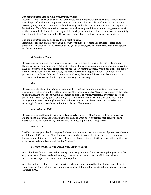#### For communities that do have trash valet service:

Resident(s) must place all trash in the Valet Waste container provided to each unit. Valet container must be placed within the designated area and times for collection (detailed information provided at Move-In). Any items that do not fit within the designated Valet Waste container must be disposed of by Resident. Valet Waste containers not set out at the designated time or in the designated area will not be collected. Resident shall be responsible for disposal and there shall be no discount to monthly fees, if applicable. Any trash left in the common areas shall be subject to trash violation fees.

#### For communities that do not have trash valet service:

Resident(s) are responsible for placing all trash within the designated containers located on the property. Any trash left in the common areas, yards, porches, patios, and the like shall be subject to trash violation fees.

#### *Grills/Open Flames*

Residents are prohibited from keeping and using any fire pits, charcoal grills, gas grills or open flames devices in or around the rental unit, including balconies, patios, and outdoor space unless they have been provided by Management for resident use in common spaces. Prohibited grills, fire pits or open flame devices will be confiscated, and residents may be subject to fines. If damage to the property occurs due to failure to follow this regulation, the user will be responsible for any costs associated with repairing the damage and restoring the property.

#### *Guests*

Residents are liable for the actions of their guests. Limit the number of guests to your home and immediately ask guests to leave the premises if they become unruly. Management reserves the right to limit the number of guests within a complex or unit at any time. Occasional overnight guests are permitted; however, any guest remaining in the unit for more than 48 hours must be reported to Management. Guests staying longer than 48 hours may be considered an Unauthorized Occupant resulting in fines and possible eviction for violation of lease terms.

#### *Alterations to Unit*

Residents are not allowed to make any alterations to the unit without prior written permission of Management. This includes alterations to the paint or wallpaper, structural changes, or flooring alterations. Do not remove any fixtures or furnishings supplied by Management.

#### *Heat in Unit*

Residents are responsible for keeping the heat set to a level to prevent freezing of pipes. Keep heat at a minimum of 55 degrees. All residents are responsible to keep all entrance doors to common areas, hallways, and stairways closed to prevent freezing of pipes. Resident will be responsible for the cost of any repairs deemed results of resident's actions.

#### *Storage- Utility Rooms/Basements/Common Areas*

Units that have direct access to their utility room are prohibited from storing anything within 5 feet of your furnace. There needs to be enough space to access equipment on all sides to allow a serviceperson to perform maintenance and repairs.

Any obstructions that interfere with service and maintenance as well as the efficient operation of your equipment are not allowed. Remember to keep all flammable/combustible products a further distance away.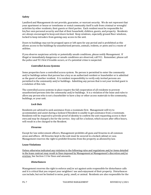# **Safety**

Landlord and Management do not provide, guarantee, or warrant security. We do not represent that your apartment or house or townhome or rental community itself is safe from criminal or wrongful activities by other residents, their guests or third parties. Each resident must be responsible for his/her own personal security and that of their household, children, guests, and property. Residents are always encouraged to keep unit doors locked. Keep windows, especially ground floor windows, locked to keep intruders from gaining easy access to the unit.

Doors to buildings may not be propped open or left open for any period and is prohibited as this allows access to the buildings by unauthorized persons, animals, rodents, or pests and is a waste of utilities.

If you observe suspicious activity or potentially unsafe conditions, please notify Management. If illegal or immediately dangerous or unsafe conditions are observed, call 911. Remember; please call the police and 911 first if trouble occurs, or if a potential crime is suspected.

#### *Controlled Access Systems*

Some properties have a controlled access system. No person is permitted to enter the community and/or buildings unless that person has a key as an authorized resident or leaseholder or is admitted as the guest of another resident. It is resident responsibility to verify only invited persons are permitted in the community and/or buildings. Admitting any person that is not your invited guest is a violation of this rule.

The controlled access systems in place require the full cooperation of all residents to prevent unauthorized persons into the community and/or buildings. It is a violation of the lease and rules to allow any person who is not a leaseholder to have a key or other access materials to the community, buildings, or your unit.

# *Lock Outs*

Residents are advised to seek assistance from a roommate first. Management will try to accommodate and assist during a lockout if Resident is unable to get assistance from a roommate. Residents will be required to provide proof of identity to confirm the unit requesting access is their own and may be charged a fee for the service. Any call for a lockout, which occurs after office hours, will result in a fee charged to the Resident.

#### *Firearms*

Except for law enforcement officers, Management prohibits all guns and firearms in all common areas and offices. All firearms kept in the unit must be secured in a locked cabinet or case. Management reserves the right to prohibit firearms from the property as allowed by law.

#### **Lease Violations**

Unless otherwise indicated any violation to the following rules and regulations and/or items detailed in the lease contract may result in fines imposed by Management at Management's discretion and/or eviction. See Section 11 for fines and amounts.

#### *Disturbances*

Management reserves the right to enforce and/or act against units responsible for disturbance calls and it is critical that you respect your neighbors' use and enjoyment of their property. Disturbances can include, but not be limited to noise, party, smell, or animal. Residents are also responsible for the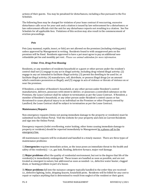actions of their guests. You may be penalized for disturbances, including a fine pursuant to the Fee Schedule.

The following fines may be charged for violation of your lease contract if reoccurring, excessive disturbance calls occur for your unit and a citation is issued by law enforcement for a disturbance; or law enforcement officials visit the unit for any disturbance reports not resulting in a citation. See Fee Schedule for all applicable fees. Violations of this section may also result in the commencement of eviction proceedings.

# *Pets*

Pets (any mammal, reptile, insect, or fish) are not allowed on the premises (including visiting pets) unless approved by Management in writing. Residents found to with unapproved pets on the premises will be fined. Residents approved to have a pet must agree to pay an additional nonrefundable pet fee and monthly pet rent. *Please see animal addendum for more information*.

# *Crime- Free, Drug-Free Housing*

Residents, or any members of residents household or a guest or other person under the resident's control shall not  $(1)$  engage in any act in illegal activity, including drug-related illegal activity;  $(2)$ engage in any act intended to facilitate illegal activity; (3) permit the dwelling to be used for, or facilitate illegal activity; (4) manufacture, sell, distribute, or possess illegal drugs (or an amount which constitutes possession as illegal); and  $(5)$  engage in acts of violence or threats of violence on or near the premises.

If Resident, a member of Resident's household, or any other person under Resident's control manufactures, delivers, possesses with intent to deliver, or possesses a controlled substance on the Premises, the Lease Contract shall be subject to termination as per the Lease Contract. If Resident, a member of Resident's household, or any other person under Resident's control causes or has threatened to cause physical injury to an individual on the Premises or other Property owned by Landlord, the Lease Contract shall be subject to termination as per the Lease Contract.

# **Maintenance/Repairs**

Non-emergency requests (items not posing immediate damage to the property or residents) must be submitted via the Online Portal. Visit the website for your property and click on Current Residents and sign into the Online Portal.

Emergency requests (toilet overflowing, water leaking, other items causing immediate damage to property or residents) should be reported immediately to Management by a phone call to the emergency line.

All maintenance requests will be evaluated and handled in a timely manner. There are three types of maintenance problems:

1) **Emergencies** requires immediate action, as the issue poses an immediate threat to the health and safety of the resident(s) – i.e., gas leak, flooding, defective furnace, major roof damage.

2) **Major problems** affect the quality of residential environment, but not to the degree that life of the resident(s) is immediately endangered. These issues are handled as soon as possible, and are not treated as emergent in nature, but addressed as soon as needed- i.e., defective water heater, clogged drain, or heating problem in part of a house.

3) **Minor problems** fall into the nuisance category typically handled in the order they are received– i.e., defective lighting, locks, dripping faucets, household pests. Residents will be billed for any cost to repair or replace anything that is determined to result from neglect of the resident or their guest.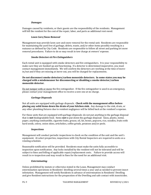#### *Damages*

Damages caused by residents, or their guests are the responsibility of the residents. Management will bill the resident for the cost of the repair, labor, and parts as additional rent owed.

## *Lawn Care/Snow Removal*

Management may provide lawn care and snow removal for the rental unit. Residents are responsible for maintaining the yard free of garbage, debris, waste, and/or other items possibly resulting in a nuisance as defined by City Code. Residents are responsible to follow all street and parking lot snow removal procedures. Failure to do so may result in tow charge at owners' expense.

# *Smoke Detectors & Fire Extinguishers*

Each rental unit is equipped with smoke detectors and fire extinguishers. It is your responsibility to make sure they are hooked up and functioning. If a detector is determined inoperative, you must contact management immediately. We will confirm the detectors are working at the time of movein/out and if they are missing at move-out, you will be charged for replacements.

#### Do not disconnect smoke detectors/carbon monoxide detectors. In some states you may be charged with a misdemeanor for disconnecting or disabling a smoke detector/carbon **monoxide detector.**

Do not tamper with or move the fire extinguisher. If the fire extinguisher is used in an emergency, please contact your management office to receive a new one at no charge.

# *Garbage Disposals*

Not all units are equipped with garbage disposals. **Check with the management office before placing any solid items down the drain of your kitchen sink.** Any damage to the sink, drain, or any other plumbing fixtures due to resident negligence will be billed back at the resident's expense.

For those units that are equipped with garbage disposals: do not put anything in the garbage disposal that is **not** biodegradable food. Items **not** to put down the garbage disposal: Glass, plastic, metal, paper, anything combustible, cigarette butts, grease, oil, fat, bones, popcorn, rice, noodles, fruits with hard seeds, celery, onion skins, artichokes, coffee grinds, potatoes and/or peels.

#### *Inspections*

Management will conduct periodic inspections to check on the condition of the unit and the unit's equipment. At select properties, inspections with City Rental Inspectors are required in units on a rotating schedule.

Reasonable notification will be provided. Residents must make the units fully accessible to inspection upon notification. Any locks installed by the resident will not be tolerated and will be subject to fines and billing of applicable repair/replacement costs. Failure to provide access will result in re-inspection and may result in fines for the need for an additional visit.

#### *Exterminating*

Unless prohibited by statute or otherwise stated in the Lease, Management may conduct extermination operations in Residents' dwelling several times a year and as needed to prevent insect infestation. Management will notify Residents in advance of extermination in Residents' Dwelling and give Resident instructions for the preparation of the Dwelling and safe contact with insecticides.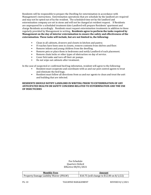Residents will be responsible to prepare the Dwelling for extermination in accordance with Management's instructions. Extermination operations that are schedule by the landlord are required and may not be opted out of by the resident. The scheduled time set by the landlord and extermination company are set in stone and will not be changed at resident request. If Residents are unprepared for a scheduled treatment date Landlord will prepare Residents' apartment and charge Residents accordingly. Residents must request extermination treatments in addition to those regularly provided by Management in writing. Residents agree to perform the tasks required by **Management on the day of interior extermination to ensure the safety and effectiveness of the extermination.** These tasks will include, but are not limited to, the following:

- Clean in all cabinets, drawers and closets in kitchen and pantry.
- If roaches have been seen in closets, remove contents from shelves and floor.
- Remove infants and young children from the dwelling.
- Remove pets or place them in bedrooms and notify Landlord of such placement.
- Remove chain locks or other types of obstruction on day of service.
- Cover fish tanks and turn off their air pumps.
- Do not wipe out cabinets after treatment.

In the case of suspected or confirmed bed bug infestation, resident will agree to the following:

- Resident must cooperate and coordinate with us and our pest control agents to treat and eliminate the bed bugs.
- Resident must follow all directions from us and our agents to clean and treat the unit and building that are infected.

## **RESIDENTS SHOULD NOTIFY LANDLORD IN WRITING PRIOR TO EXTERMINATION OF ANY ANTICIPATED HEALTH OR SAFETY CONCERNS RELATED TO EXTERMINATION AND THE USE OF INSECTICIDES**

## Fee Schedule Quarters Oxford Effective 08/01/2021

| <b>Monthly Fees</b>                     | Amount                                                   |
|-----------------------------------------|----------------------------------------------------------|
| Property Damage Liability Waiver (PDLW) | $\frac{1}{2}$ \$10.75 (will change to \$12.00 on 8/1/22) |